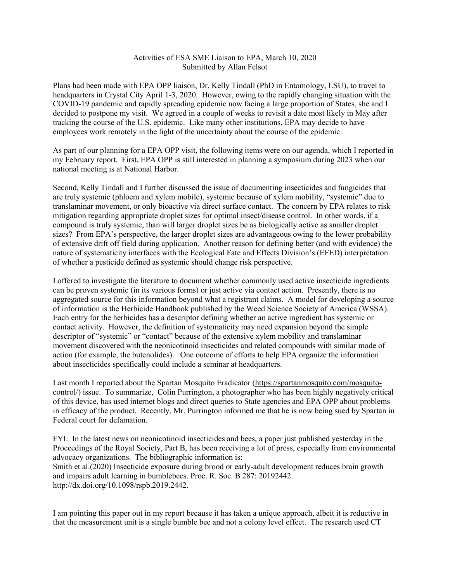## Activities of ESA SME Liaison to EPA, March 10, 2020 Submitted by Allan Felsot

Plans had been made with EPA OPP liaison, Dr. Kelly Tindall (PhD in Entomology, LSU), to travel to headquarters in Crystal City April 1-3, 2020. However, owing to the rapidly changing situation with the COVID-19 pandemic and rapidly spreading epidemic now facing a large proportion of States, she and I decided to postpone my visit. We agreed in a couple of weeks to revisit a date most likely in May after tracking the course of the U.S. epidemic. Like many other institutions, EPA may decide to have employees work remotely in the light of the uncertainty about the course of the epidemic.

As part of our planning for a EPA OPP visit, the following items were on our agenda, which I reported in my February report. First, EPA OPP is still interested in planning a symposium during 2023 when our national meeting is at National Harbor.

Second, Kelly Tindall and I further discussed the issue of documenting insecticides and fungicides that are truly systemic (phloem and xylem mobile), systemic because of xylem mobility, "systemic" due to translaminar movement, or only bioactive via direct surface contact. The concern by EPA relates to risk mitigation regarding appropriate droplet sizes for optimal insect/disease control. In other words, if a compound is truly systemic, than will larger droplet sizes be as biologically active as smaller droplet sizes? From EPA's perspective, the larger droplet sizes are advantageous owing to the lower probability of extensive drift off field during application. Another reason for defining better (and with evidence) the nature of systematicity interfaces with the Ecological Fate and Effects Division's (EFED) interpretation of whether a pesticide defined as systemic should change risk perspective.

I offered to investigate the literature to document whether commonly used active insecticide ingredients can be proven systemic (in its various forms) or just active via contact action. Presently, there is no aggregated source for this information beyond what a registrant claims. A model for developing a source of information is the Herbicide Handbook published by the Weed Science Society of America (WSSA). Each entry for the herbicides has a descriptor defining whether an active ingredient has systemic or contact activity. However, the definition of systematicity may need expansion beyond the simple descriptor of "systemic" or "contact" because of the extensive xylem mobility and translaminar movement discovered with the neonicotinoid insecticides and related compounds with similar mode of action (for example, the butenolides). One outcome of efforts to help EPA organize the information about insecticides specifically could include a seminar at headquarters.

Last month I reported about the Spartan Mosquito Eradicator [\(https://spartanmosquito.com/mosquito](https://spartanmosquito.com/mosquito-control/)[control/\)](https://spartanmosquito.com/mosquito-control/) issue. To summarize, Colin Purrington, a photographer who has been highly negatively critical of this device, has used internet blogs and direct queries to State agencies and EPA OPP about problems in efficacy of the product. Recently, Mr. Purrington informed me that he is now being sued by Spartan in Federal court for defamation.

FYI: In the latest news on neonicotinoid insecticides and bees, a paper just published yesterday in the Proceedings of the Royal Society, Part B, has been receiving a lot of press, especially from environmental advocacy organizations. The bibliographic information is: Smith et al.(2020) Insecticide exposure during brood or early-adult development reduces brain growth and impairs adult learning in bumblebees. Proc. R. Soc. B 287: 20192442. [http://dx.doi.org/10.1098/rspb.2019.2442.](http://dx.doi.org/10.1098/rspb.2019.2442)

I am pointing this paper out in my report because it has taken a unique approach, albeit it is reductive in that the measurement unit is a single bumble bee and not a colony level effect. The research used CT